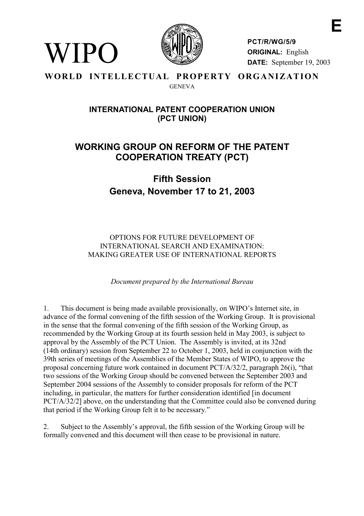

WIPO

**PCT/R/WG/5/9 ORIGINAL:** English **DATE:** September 19, 2003

#### **WORLD INTELLECTUAL PROPERTY ORGANIZATION GENEVA**

# **INTERNATIONAL PATENT COOPERATION UNION (PCT UNION)**

# **WORKING GROUP ON REFORM OF THE PATENT COOPERATION TREATY (PCT)**

**Fifth Session Geneva, November 17 to 21, 2003**

OPTIONS FOR FUTURE DEVELOPMENT OF INTERNATIONAL SEARCH AND EXAMINATION: MAKING GREATER USE OF INTERNATIONAL REPORTS

*Document prepared by the International Bureau*

1. This document is being made available provisionally, on WIPO's Internet site, in advance of the formal convening of the fifth session of the Working Group. It is provisional in the sense that the formal convening of the fifth session of the Working Group, as recommended by the Working Group at its fourth session held in May 2003, is subject to approval by the Assembly of the PCT Union. The Assembly is invited, at its 32nd (14th ordinary) session from September 22 to October 1, 2003, held in conjunction with the 39th series of meetings of the Assemblies of the Member States of WIPO, to approve the proposal concerning future work contained in document PCT/A/32/2, paragraph 26(i), "that two sessions of the Working Group should be convened between the September 2003 and September 2004 sessions of the Assembly to consider proposals for reform of the PCT including, in particular, the matters for further consideration identified [in document] PCT/A/32/2] above, on the understanding that the Committee could also be convened during that period if the Working Group felt it to be necessary."

2. Subject to the Assembly's approval, the fifth session of the Working Group will be formally convened and this document will then cease to be provisional in nature.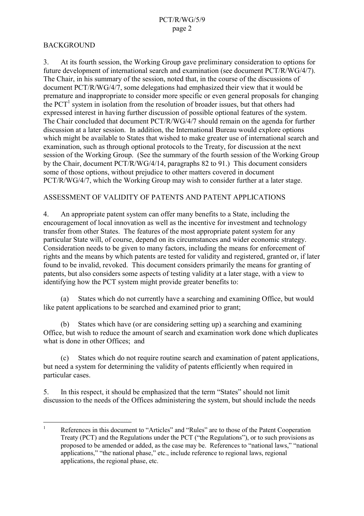### BACKGROUND

3. At its fourth session, the Working Group gave preliminary consideration to options for future development of international search and examination (see document PCT/R/WG/4/7). The Chair, in his summary of the session, noted that, in the course of the discussions of document PCT/R/WG/4/7, some delegations had emphasized their view that it would be premature and inappropriate to consider more specific or even general proposals for changing the  $PCT<sup>1</sup>$  system in isolation from the resolution of broader issues, but that others had expressed interest in having further discussion of possible optional features of the system. The Chair concluded that document PCT/R/WG/4/7 should remain on the agenda for further discussion at a later session. In addition, the International Bureau would explore options which might be available to States that wished to make greater use of international search and examination, such as through optional protocols to the Treaty, for discussion at the next session of the Working Group. (See the summary of the fourth session of the Working Group by the Chair, document PCT/R/WG/4/14, paragraphs 82 to 91.) This document considers some of those options, without prejudice to other matters covered in document PCT/R/WG/4/7, which the Working Group may wish to consider further at a later stage.

#### ASSESSMENT OF VALIDITY OF PATENTS AND PATENT APPLICATIONS

4. An appropriate patent system can offer many benefits to a State, including the encouragement of local innovation as well as the incentive for investment and technology transfer from other States. The features of the most appropriate patent system for any particular State will, of course, depend on its circumstances and wider economic strategy. Consideration needs to be given to many factors, including the means for enforcement of rights and the means by which patents are tested for validity and registered, granted or, if later found to be invalid, revoked. This document considers primarily the means for granting of patents, but also considers some aspects of testing validity at a later stage, with a view to identifying how the PCT system might provide greater benefits to:

(a) States which do not currently have a searching and examining Office, but would like patent applications to be searched and examined prior to grant;

(b) States which have (or are considering setting up) a searching and examining Office, but wish to reduce the amount of search and examination work done which duplicates what is done in other Offices; and

(c) States which do not require routine search and examination of patent applications, but need a system for determining the validity of patents efficiently when required in particular cases.

5. In this respect, it should be emphasized that the term "States" should not limit discussion to the needs of the Offices administering the system, but should include the needs

 $\frac{1}{1}$  References in this document to "Articles" and "Rules" are to those of the Patent Cooperation Treaty (PCT) and the Regulations under the PCT ("the Regulations"), or to such provisions as proposed to be amended or added, as the case may be. References to "national laws," "national applications," "the national phase," etc., include reference to regional laws, regional applications, the regional phase, etc.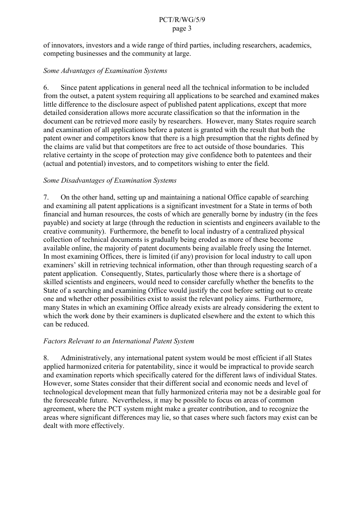of innovators, investors and a wide range of third parties, including researchers, academics, competing businesses and the community at large.

### *Some Advantages of Examination Systems*

6. Since patent applications in general need all the technical information to be included from the outset, a patent system requiring all applications to be searched and examined makes little difference to the disclosure aspect of published patent applications, except that more detailed consideration allows more accurate classification so that the information in the document can be retrieved more easily by researchers. However, many States require search and examination of all applications before a patent is granted with the result that both the patent owner and competitors know that there is a high presumption that the rights defined by the claims are valid but that competitors are free to act outside of those boundaries. This relative certainty in the scope of protection may give confidence both to patentees and their (actual and potential) investors, and to competitors wishing to enter the field.

### *Some Disadvantages of Examination Systems*

7. On the other hand, setting up and maintaining a national Office capable of searching and examining all patent applications is a significant investment for a State in terms of both financial and human resources, the costs of which are generally borne by industry (in the fees payable) and society at large (through the reduction in scientists and engineers available to the creative community). Furthermore, the benefit to local industry of a centralized physical collection of technical documents is gradually being eroded as more of these become available online, the majority of patent documents being available freely using the Internet. In most examining Offices, there is limited (if any) provision for local industry to call upon examiners' skill in retrieving technical information, other than through requesting search of a patent application. Consequently, States, particularly those where there is a shortage of skilled scientists and engineers, would need to consider carefully whether the benefits to the State of a searching and examining Office would justify the cost before setting out to create one and whether other possibilities exist to assist the relevant policy aims. Furthermore, many States in which an examining Office already exists are already considering the extent to which the work done by their examiners is duplicated elsewhere and the extent to which this can be reduced.

### *Factors Relevant to an International Patent System*

8. Administratively, any international patent system would be most efficient if all States applied harmonized criteria for patentability, since it would be impractical to provide search and examination reports which specifically catered for the different laws of individual States. However, some States consider that their different social and economic needs and level of technological development mean that fully harmonized criteria may not be a desirable goal for the foreseeable future. Nevertheless, it may be possible to focus on areas of common agreement, where the PCT system might make a greater contribution, and to recognize the areas where significant differences may lie, so that cases where such factors may exist can be dealt with more effectively.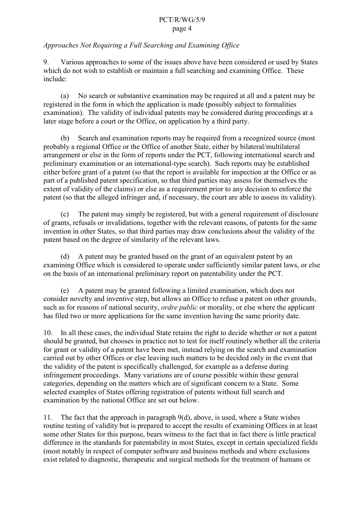### *Approaches Not Requiring a Full Searching and Examining Office*

9. Various approaches to some of the issues above have been considered or used by States which do not wish to establish or maintain a full searching and examining Office. These include:

(a) No search or substantive examination may be required at all and a patent may be registered in the form in which the application is made (possibly subject to formalities examination). The validity of individual patents may be considered during proceedings at a later stage before a court or the Office, on application by a third party.

(b) Search and examination reports may be required from a recognized source (most probably a regional Office or the Office of another State, either by bilateral/multilateral arrangement or else in the form of reports under the PCT, following international search and preliminary examination or an international-type search). Such reports may be established either before grant of a patent (so that the report is available for inspection at the Office or as part of a published patent specification, so that third parties may assess for themselves the extent of validity of the claims) or else as a requirement prior to any decision to enforce the patent (so that the alleged infringer and, if necessary, the court are able to assess its validity).

(c) The patent may simply be registered, but with a general requirement of disclosure of grants, refusals or invalidations, together with the relevant reasons, of patents for the same invention in other States, so that third parties may draw conclusions about the validity of the patent based on the degree of similarity of the relevant laws.

(d) A patent may be granted based on the grant of an equivalent patent by an examining Office which is considered to operate under sufficiently similar patent laws, or else on the basis of an international preliminary report on patentability under the PCT.

(e) A patent may be granted following a limited examination, which does not consider novelty and inventive step, but allows an Office to refuse a patent on other grounds, such as for reasons of national security, *ordre public* or morality, or else where the applicant has filed two or more applications for the same invention having the same priority date.

10. In all these cases, the individual State retains the right to decide whether or not a patent should be granted, but chooses in practice not to test for itself routinely whether all the criteria for grant or validity of a patent have been met, instead relying on the search and examination carried out by other Offices or else leaving such matters to be decided only in the event that the validity of the patent is specifically challenged, for example as a defense during infringement proceedings. Many variations are of course possible within these general categories, depending on the matters which are of significant concern to a State. Some selected examples of States offering registration of patents without full search and examination by the national Office are set out below.

11. The fact that the approach in paragraph 9(d), above, is used, where a State wishes routine testing of validity but is prepared to accept the results of examining Offices in at least some other States for this purpose, bears witness to the fact that in fact there is little practical difference in the standards for patentability in most States, except in certain specialized fields (most notably in respect of computer software and business methods and where exclusions exist related to diagnostic, therapeutic and surgical methods for the treatment of humans or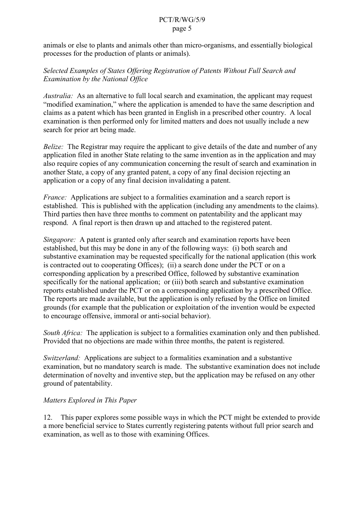animals or else to plants and animals other than micro-organisms, and essentially biological processes for the production of plants or animals).

### *Selected Examples of States Offering Registration of Patents Without Full Search and Examination by the National Office*

*Australia:* As an alternative to full local search and examination, the applicant may request "modified examination," where the application is amended to have the same description and claims as a patent which has been granted in English in a prescribed other country. A local examination is then performed only for limited matters and does not usually include a new search for prior art being made.

*Belize:* The Registrar may require the applicant to give details of the date and number of any application filed in another State relating to the same invention as in the application and may also require copies of any communication concerning the result of search and examination in another State, a copy of any granted patent, a copy of any final decision rejecting an application or a copy of any final decision invalidating a patent.

*France:* Applications are subject to a formalities examination and a search report is established. This is published with the application (including any amendments to the claims). Third parties then have three months to comment on patentability and the applicant may respond. A final report is then drawn up and attached to the registered patent.

*Singapore:* A patent is granted only after search and examination reports have been established, but this may be done in any of the following ways: (i) both search and substantive examination may be requested specifically for the national application (this work is contracted out to cooperating Offices); (ii) a search done under the PCT or on a corresponding application by a prescribed Office, followed by substantive examination specifically for the national application; or (iii) both search and substantive examination reports established under the PCT or on a corresponding application by a prescribed Office. The reports are made available, but the application is only refused by the Office on limited grounds (for example that the publication or exploitation of the invention would be expected to encourage offensive, immoral or anti-social behavior).

*South Africa:* The application is subject to a formalities examination only and then published. Provided that no objections are made within three months, the patent is registered.

*Switzerland:* Applications are subject to a formalities examination and a substantive examination, but no mandatory search is made. The substantive examination does not include determination of novelty and inventive step, but the application may be refused on any other ground of patentability.

### *Matters Explored in This Paper*

12. This paper explores some possible ways in which the PCT might be extended to provide a more beneficial service to States currently registering patents without full prior search and examination, as well as to those with examining Offices.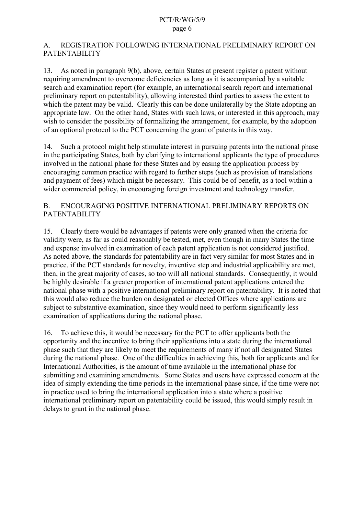### A. REGISTRATION FOLLOWING INTERNATIONAL PRELIMINARY REPORT ON PATENTABILITY

13. As noted in paragraph 9(b), above, certain States at present register a patent without requiring amendment to overcome deficiencies as long as it is accompanied by a suitable search and examination report (for example, an international search report and international preliminary report on patentability), allowing interested third parties to assess the extent to which the patent may be valid. Clearly this can be done unilaterally by the State adopting an appropriate law. On the other hand, States with such laws, or interested in this approach, may wish to consider the possibility of formalizing the arrangement, for example, by the adoption of an optional protocol to the PCT concerning the grant of patents in this way.

14. Such a protocol might help stimulate interest in pursuing patents into the national phase in the participating States, both by clarifying to international applicants the type of procedures involved in the national phase for these States and by easing the application process by encouraging common practice with regard to further steps (such as provision of translations and payment of fees) which might be necessary. This could be of benefit, as a tool within a wider commercial policy, in encouraging foreign investment and technology transfer.

### B. ENCOURAGING POSITIVE INTERNATIONAL PRELIMINARY REPORTS ON PATENTABILITY

15. Clearly there would be advantages if patents were only granted when the criteria for validity were, as far as could reasonably be tested, met, even though in many States the time and expense involved in examination of each patent application is not considered justified. As noted above, the standards for patentability are in fact very similar for most States and in practice, if the PCT standards for novelty, inventive step and industrial applicability are met, then, in the great majority of cases, so too will all national standards. Consequently, it would be highly desirable if a greater proportion of international patent applications entered the national phase with a positive international preliminary report on patentability. It is noted that this would also reduce the burden on designated or elected Offices where applications are subject to substantive examination, since they would need to perform significantly less examination of applications during the national phase.

16. To achieve this, it would be necessary for the PCT to offer applicants both the opportunity and the incentive to bring their applications into a state during the international phase such that they are likely to meet the requirements of many if not all designated States during the national phase. One of the difficulties in achieving this, both for applicants and for International Authorities, is the amount of time available in the international phase for submitting and examining amendments. Some States and users have expressed concern at the idea of simply extending the time periods in the international phase since, if the time were not in practice used to bring the international application into a state where a positive international preliminary report on patentability could be issued, this would simply result in delays to grant in the national phase.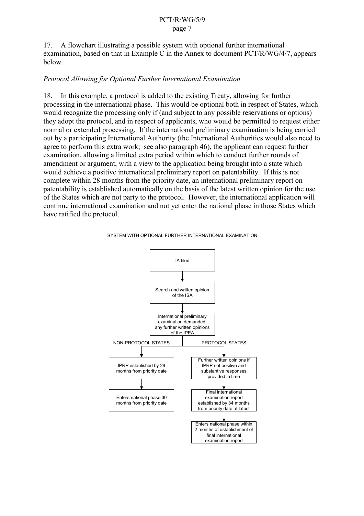17. A flowchart illustrating a possible system with optional further international examination, based on that in Example C in the Annex to document PCT/R/WG/4/7, appears below.

### *Protocol Allowing for Optional Further International Examination*

18. In this example, a protocol is added to the existing Treaty, allowing for further processing in the international phase. This would be optional both in respect of States, which would recognize the processing only if (and subject to any possible reservations or options) they adopt the protocol, and in respect of applicants, who would be permitted to request either normal or extended processing. If the international preliminary examination is being carried out by a participating International Authority (the International Authorities would also need to agree to perform this extra work; see also paragraph 46), the applicant can request further examination, allowing a limited extra period within which to conduct further rounds of amendment or argument, with a view to the application being brought into a state which would achieve a positive international preliminary report on patentability. If this is not complete within 28 months from the priority date, an international preliminary report on patentability is established automatically on the basis of the latest written opinion for the use of the States which are not party to the protocol. However, the international application will continue international examination and not yet enter the national phase in those States which have ratified the protocol.



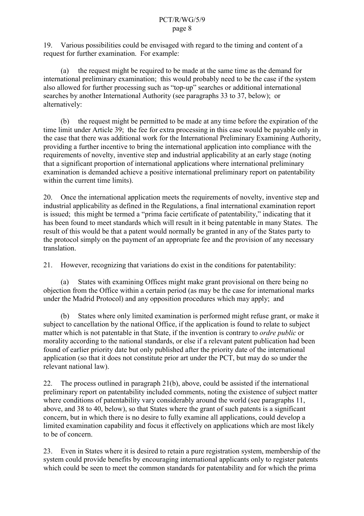19. Various possibilities could be envisaged with regard to the timing and content of a request for further examination. For example:

(a) the request might be required to be made at the same time as the demand for international preliminary examination; this would probably need to be the case if the system also allowed for further processing such as "top-up" searches or additional international searches by another International Authority (see paragraphs 33 to 37, below); or alternatively:

(b) the request might be permitted to be made at any time before the expiration of the time limit under Article 39; the fee for extra processing in this case would be payable only in the case that there was additional work for the International Preliminary Examining Authority, providing a further incentive to bring the international application into compliance with the requirements of novelty, inventive step and industrial applicability at an early stage (noting that a significant proportion of international applications where international preliminary examination is demanded achieve a positive international preliminary report on patentability within the current time limits).

20. Once the international application meets the requirements of novelty, inventive step and industrial applicability as defined in the Regulations, a final international examination report is issued; this might be termed a "prima facie certificate of patentability," indicating that it has been found to meet standards which will result in it being patentable in many States. The result of this would be that a patent would normally be granted in any of the States party to the protocol simply on the payment of an appropriate fee and the provision of any necessary translation.

21. However, recognizing that variations do exist in the conditions for patentability:

(a) States with examining Offices might make grant provisional on there being no objection from the Office within a certain period (as may be the case for international marks under the Madrid Protocol) and any opposition procedures which may apply; and

(b) States where only limited examination is performed might refuse grant, or make it subject to cancellation by the national Office, if the application is found to relate to subject matter which is not patentable in that State, if the invention is contrary to *ordre public* or morality according to the national standards, or else if a relevant patent publication had been found of earlier priority date but only published after the priority date of the international application (so that it does not constitute prior art under the PCT, but may do so under the relevant national law).

22. The process outlined in paragraph 21(b), above, could be assisted if the international preliminary report on patentability included comments, noting the existence of subject matter where conditions of patentability vary considerably around the world (see paragraphs 11, above, and 38 to 40, below), so that States where the grant of such patents is a significant concern, but in which there is no desire to fully examine all applications, could develop a limited examination capability and focus it effectively on applications which are most likely to be of concern.

23. Even in States where it is desired to retain a pure registration system, membership of the system could provide benefits by encouraging international applicants only to register patents which could be seen to meet the common standards for patentability and for which the prima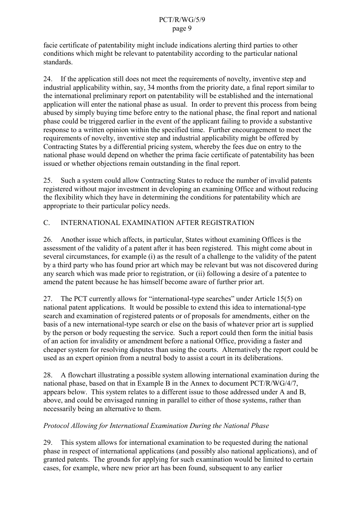facie certificate of patentability might include indications alerting third parties to other conditions which might be relevant to patentability according to the particular national standards.

24. If the application still does not meet the requirements of novelty, inventive step and industrial applicability within, say, 34 months from the priority date, a final report similar to the international preliminary report on patentability will be established and the international application will enter the national phase as usual. In order to prevent this process from being abused by simply buying time before entry to the national phase, the final report and national phase could be triggered earlier in the event of the applicant failing to provide a substantive response to a written opinion within the specified time. Further encouragement to meet the requirements of novelty, inventive step and industrial applicability might be offered by Contracting States by a differential pricing system, whereby the fees due on entry to the national phase would depend on whether the prima facie certificate of patentability has been issued or whether objections remain outstanding in the final report.

25. Such a system could allow Contracting States to reduce the number of invalid patents registered without major investment in developing an examining Office and without reducing the flexibility which they have in determining the conditions for patentability which are appropriate to their particular policy needs.

### C. INTERNATIONAL EXAMINATION AFTER REGISTRATION

26. Another issue which affects, in particular, States without examining Offices is the assessment of the validity of a patent after it has been registered. This might come about in several circumstances, for example (i) as the result of a challenge to the validity of the patent by a third party who has found prior art which may be relevant but was not discovered during any search which was made prior to registration, or (ii) following a desire of a patentee to amend the patent because he has himself become aware of further prior art.

27. The PCT currently allows for "international-type searches" under Article 15(5) on national patent applications. It would be possible to extend this idea to international-type search and examination of registered patents or of proposals for amendments, either on the basis of a new international-type search or else on the basis of whatever prior art is supplied by the person or body requesting the service. Such a report could then form the initial basis of an action for invalidity or amendment before a national Office, providing a faster and cheaper system for resolving disputes than using the courts. Alternatively the report could be used as an expert opinion from a neutral body to assist a court in its deliberations.

28. A flowchart illustrating a possible system allowing international examination during the national phase, based on that in Example B in the Annex to document PCT/R/WG/4/7, appears below. This system relates to a different issue to those addressed under A and B, above, and could be envisaged running in parallel to either of those systems, rather than necessarily being an alternative to them.

### *Protocol Allowing for International Examination During the National Phase*

29. This system allows for international examination to be requested during the national phase in respect of international applications (and possibly also national applications), and of granted patents. The grounds for applying for such examination would be limited to certain cases, for example, where new prior art has been found, subsequent to any earlier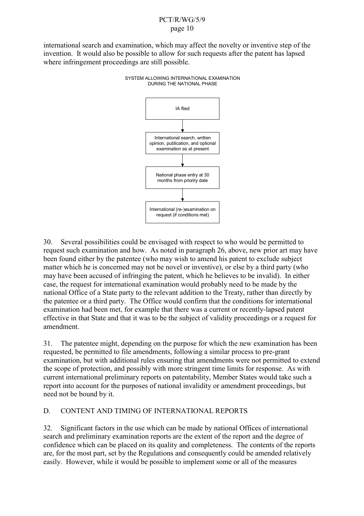international search and examination, which may affect the novelty or inventive step of the invention. It would also be possible to allow for such requests after the patent has lapsed where infringement proceedings are still possible.



SYSTEM ALLOWING INTERNATIONAL EXAMINATION DURING THE NATIONAL PHASE

30. Several possibilities could be envisaged with respect to who would be permitted to request such examination and how. As noted in paragraph 26, above, new prior art may have been found either by the patentee (who may wish to amend his patent to exclude subject matter which he is concerned may not be novel or inventive), or else by a third party (who may have been accused of infringing the patent, which he believes to be invalid). In either case, the request for international examination would probably need to be made by the national Office of a State party to the relevant addition to the Treaty, rather than directly by the patentee or a third party. The Office would confirm that the conditions for international examination had been met, for example that there was a current or recently-lapsed patent effective in that State and that it was to be the subject of validity proceedings or a request for amendment.

31. The patentee might, depending on the purpose for which the new examination has been requested, be permitted to file amendments, following a similar process to pre-grant examination, but with additional rules ensuring that amendments were not permitted to extend the scope of protection, and possibly with more stringent time limits for response. As with current international preliminary reports on patentability, Member States would take such a report into account for the purposes of national invalidity or amendment proceedings, but need not be bound by it.

# D. CONTENT AND TIMING OF INTERNATIONAL REPORTS

32. Significant factors in the use which can be made by national Offices of international search and preliminary examination reports are the extent of the report and the degree of confidence which can be placed on its quality and completeness. The contents of the reports are, for the most part, set by the Regulations and consequently could be amended relatively easily. However, while it would be possible to implement some or all of the measures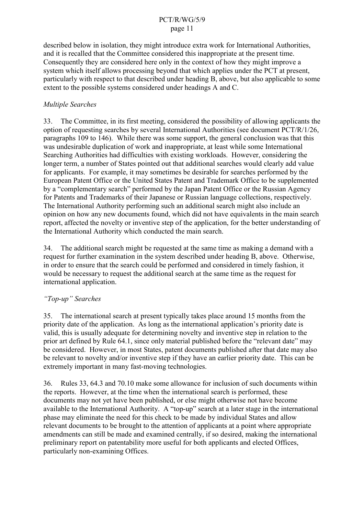described below in isolation, they might introduce extra work for International Authorities, and it is recalled that the Committee considered this inappropriate at the present time. Consequently they are considered here only in the context of how they might improve a system which itself allows processing beyond that which applies under the PCT at present, particularly with respect to that described under heading B, above, but also applicable to some extent to the possible systems considered under headings A and C.

### *Multiple Searches*

33. The Committee, in its first meeting, considered the possibility of allowing applicants the option of requesting searches by several International Authorities (see document PCT/R/1/26, paragraphs 109 to 146). While there was some support, the general conclusion was that this was undesirable duplication of work and inappropriate, at least while some International Searching Authorities had difficulties with existing workloads. However, considering the longer term, a number of States pointed out that additional searches would clearly add value for applicants. For example, it may sometimes be desirable for searches performed by the European Patent Office or the United States Patent and Trademark Office to be supplemented by a "complementary search" performed by the Japan Patent Office or the Russian Agency for Patents and Trademarks of their Japanese or Russian language collections, respectively. The International Authority performing such an additional search might also include an opinion on how any new documents found, which did not have equivalents in the main search report, affected the novelty or inventive step of the application, for the better understanding of the International Authority which conducted the main search.

34. The additional search might be requested at the same time as making a demand with a request for further examination in the system described under heading B, above. Otherwise, in order to ensure that the search could be performed and considered in timely fashion, it would be necessary to request the additional search at the same time as the request for international application.

# *"Top-up" Searches*

35. The international search at present typically takes place around 15 months from the priority date of the application. As long as the international application's priority date is valid, this is usually adequate for determining novelty and inventive step in relation to the prior art defined by Rule 64.1, since only material published before the "relevant date" may be considered. However, in most States, patent documents published after that date may also be relevant to novelty and/or inventive step if they have an earlier priority date. This can be extremely important in many fast-moving technologies.

36. Rules 33, 64.3 and 70.10 make some allowance for inclusion of such documents within the reports. However, at the time when the international search is performed, these documents may not yet have been published, or else might otherwise not have become available to the International Authority. A "top-up" search at a later stage in the international phase may eliminate the need for this check to be made by individual States and allow relevant documents to be brought to the attention of applicants at a point where appropriate amendments can still be made and examined centrally, if so desired, making the international preliminary report on patentability more useful for both applicants and elected Offices, particularly non-examining Offices.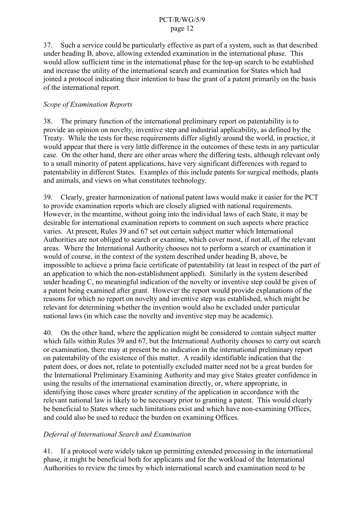37. Such a service could be particularly effective as part of a system, such as that described under heading B, above, allowing extended examination in the international phase. This would allow sufficient time in the international phase for the top-up search to be established and increase the utility of the international search and examination for States which had joined a protocol indicating their intention to base the grant of a patent primarily on the basis of the international report.

### *Scope of Examination Reports*

38. The primary function of the international preliminary report on patentability is to provide an opinion on novelty, inventive step and industrial applicability, as defined by the Treaty. While the tests for these requirements differ slightly around the world, in practice, it would appear that there is very little difference in the outcomes of these tests in any particular case. On the other hand, there are other areas where the differing tests, although relevant only to a small minority of patent applications, have very significant differences with regard to patentability in different States. Examples of this include patents for surgical methods, plants and animals, and views on what constitutes technology.

39. Clearly, greater harmonization of national patent laws would make it easier for the PCT to provide examination reports which are closely aligned with national requirements. However, in the meantime, without going into the individual laws of each State, it may be desirable for international examination reports to comment on such aspects where practice varies. At present, Rules 39 and 67 set out certain subject matter which International Authorities are not obliged to search or examine, which cover most, if not all, of the relevant areas. Where the International Authority chooses not to perform a search or examination it would of course, in the context of the system described under heading B, above, be impossible to achieve a prima facie certificate of patentability (at least in respect of the part of an application to which the non-establishment applied). Similarly in the system described under heading C, no meaningful indication of the novelty or inventive step could be given of a patent being examined after grant. However the report would provide explanations of the reasons for which no report on novelty and inventive step was established, which might be relevant for determining whether the invention would also be excluded under particular national laws (in which case the novelty and inventive step may be academic).

40. On the other hand, where the application might be considered to contain subject matter which falls within Rules 39 and 67, but the International Authority chooses to carry out search or examination, there may at present be no indication in the international preliminary report on patentability of the existence of this matter. A readily identifiable indication that the patent does, or does not, relate to potentially excluded matter need not be a great burden for the International Preliminary Examining Authority and may give States greater confidence in using the results of the international examination directly, or, where appropriate, in identifying those cases where greater scrutiny of the application in accordance with the relevant national law is likely to be necessary prior to granting a patent. This would clearly be beneficial to States where such limitations exist and which have non-examining Offices, and could also be used to reduce the burden on examining Offices.

### *Deferral of International Search and Examination*

41. If a protocol were widely taken up permitting extended processing in the international phase, it might be beneficial both for applicants and for the workload of the International Authorities to review the times by which international search and examination need to be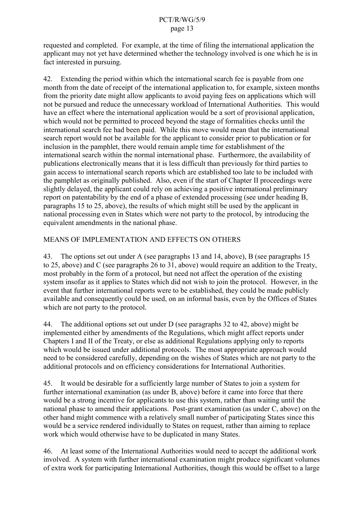requested and completed. For example, at the time of filing the international application the applicant may not yet have determined whether the technology involved is one which he is in fact interested in pursuing.

42. Extending the period within which the international search fee is payable from one month from the date of receipt of the international application to, for example, sixteen months from the priority date might allow applicants to avoid paying fees on applications which will not be pursued and reduce the unnecessary workload of International Authorities. This would have an effect where the international application would be a sort of provisional application, which would not be permitted to proceed beyond the stage of formalities checks until the international search fee had been paid. While this move would mean that the international search report would not be available for the applicant to consider prior to publication or for inclusion in the pamphlet, there would remain ample time for establishment of the international search within the normal international phase. Furthermore, the availability of publications electronically means that it is less difficult than previously for third parties to gain access to international search reports which are established too late to be included with the pamphlet as originally published. Also, even if the start of Chapter II proceedings were slightly delayed, the applicant could rely on achieving a positive international preliminary report on patentability by the end of a phase of extended processing (see under heading B, paragraphs 15 to 25, above), the results of which might still be used by the applicant in national processing even in States which were not party to the protocol, by introducing the equivalent amendments in the national phase.

### MEANS OF IMPLEMENTATION AND EFFECTS ON OTHERS

43. The options set out under A (see paragraphs 13 and 14, above), B (see paragraphs 15 to 25, above) and C (see paragraphs 26 to 31, above) would require an addition to the Treaty, most probably in the form of a protocol, but need not affect the operation of the existing system insofar as it applies to States which did not wish to join the protocol. However, in the event that further international reports were to be established, they could be made publicly available and consequently could be used, on an informal basis, even by the Offices of States which are not party to the protocol.

44. The additional options set out under D (see paragraphs 32 to 42, above) might be implemented either by amendments of the Regulations, which might affect reports under Chapters I and II of the Treaty, or else as additional Regulations applying only to reports which would be issued under additional protocols. The most appropriate approach would need to be considered carefully, depending on the wishes of States which are not party to the additional protocols and on efficiency considerations for International Authorities.

45. It would be desirable for a sufficiently large number of States to join a system for further international examination (as under B, above) before it came into force that there would be a strong incentive for applicants to use this system, rather than waiting until the national phase to amend their applications. Post-grant examination (as under C, above) on the other hand might commence with a relatively small number of participating States since this would be a service rendered individually to States on request, rather than aiming to replace work which would otherwise have to be duplicated in many States.

46. At least some of the International Authorities would need to accept the additional work involved. A system with further international examination might produce significant volumes of extra work for participating International Authorities, though this would be offset to a large